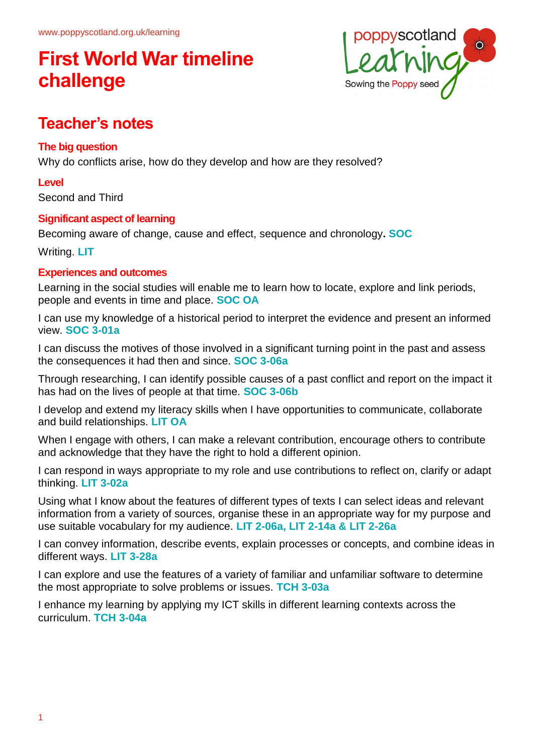

# **Teacher's notes**

## **The big question**

Why do conflicts arise, how do they develop and how are they resolved?

## **Level**

Second and Third

## **Significant aspect of learning**

Becoming aware of change, cause and effect, sequence and chronology**. SOC**

Writing. **LIT**

## **Experiences and outcomes**

Learning in the social studies will enable me to learn how to locate, explore and link periods, people and events in time and place. **SOC OA**

I can use my knowledge of a historical period to interpret the evidence and present an informed view. **SOC 3-01a**

I can discuss the motives of those involved in a significant turning point in the past and assess the consequences it had then and since. **SOC 3-06a**

Through researching, I can identify possible causes of a past conflict and report on the impact it has had on the lives of people at that time. **SOC 3-06b**

I develop and extend my literacy skills when I have opportunities to communicate, collaborate and build relationships. **LIT OA**

When I engage with others, I can make a relevant contribution, encourage others to contribute and acknowledge that they have the right to hold a different opinion.

I can respond in ways appropriate to my role and use contributions to reflect on, clarify or adapt thinking. **LIT 3-02a**

Using what I know about the features of different types of texts I can select ideas and relevant information from a variety of sources, organise these in an appropriate way for my purpose and use suitable vocabulary for my audience. **LIT 2-06a, LIT 2-14a & LIT 2-26a**

I can convey information, describe events, explain processes or concepts, and combine ideas in different ways. **LIT 3-28a**

I can explore and use the features of a variety of familiar and unfamiliar software to determine the most appropriate to solve problems or issues. **TCH 3-03a**

I enhance my learning by applying my ICT skills in different learning contexts across the curriculum. **TCH 3-04a**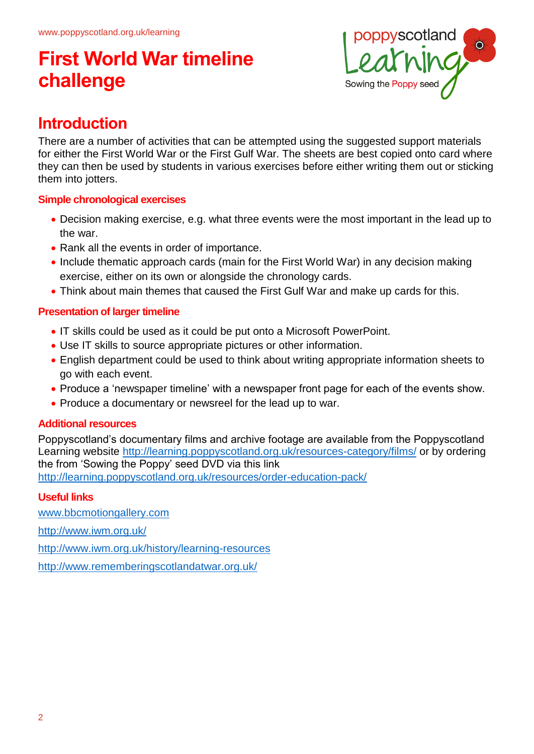

# **Introduction**

There are a number of activities that can be attempted using the suggested support materials for either the First World War or the First Gulf War. The sheets are best copied onto card where they can then be used by students in various exercises before either writing them out or sticking them into jotters.

## **Simple chronological exercises**

- Decision making exercise, e.g. what three events were the most important in the lead up to the war.
- Rank all the events in order of importance.
- Include thematic approach cards (main for the First World War) in any decision making exercise, either on its own or alongside the chronology cards.
- Think about main themes that caused the First Gulf War and make up cards for this.

## **Presentation of larger timeline**

- IT skills could be used as it could be put onto a Microsoft PowerPoint.
- Use IT skills to source appropriate pictures or other information.
- English department could be used to think about writing appropriate information sheets to go with each event.
- Produce a 'newspaper timeline' with a newspaper front page for each of the events show.
- Produce a documentary or newsreel for the lead up to war.

## **Additional resources**

Poppyscotland's documentary films and archive footage are available from the Poppyscotland Learning website<http://learning.poppyscotland.org.uk/resources-category/films/> or by ordering the from 'Sowing the Poppy' seed DVD via this link <http://learning.poppyscotland.org.uk/resources/order-education-pack/>

# **Useful links**

[www.bbcmotiongallery.com](http://www.bbcmotiongallery.com/)

<http://www.iwm.org.uk/>

<http://www.iwm.org.uk/history/learning-resources>

<http://www.rememberingscotlandatwar.org.uk/>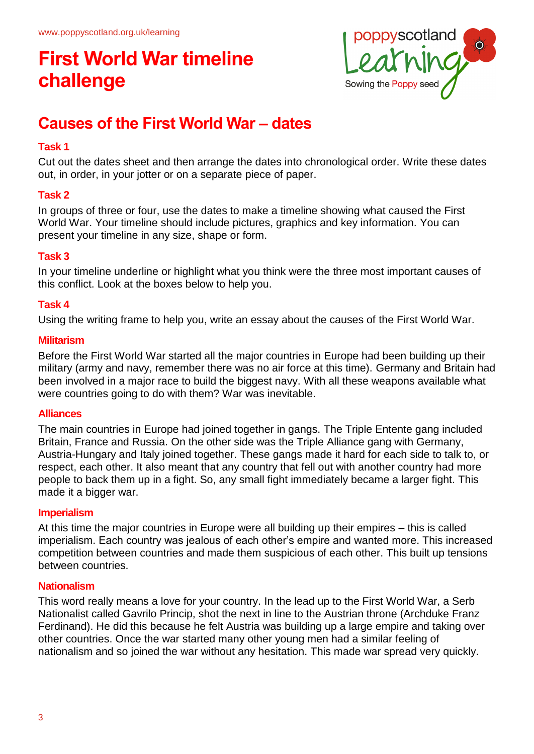

# **Causes of the First World War – dates**

### **Task 1**

Cut out the dates sheet and then arrange the dates into chronological order. Write these dates out, in order, in your jotter or on a separate piece of paper.

## **Task 2**

In groups of three or four, use the dates to make a timeline showing what caused the First World War. Your timeline should include pictures, graphics and key information. You can present your timeline in any size, shape or form.

#### **Task 3**

In your timeline underline or highlight what you think were the three most important causes of this conflict. Look at the boxes below to help you.

### **Task 4**

Using the writing frame to help you, write an essay about the causes of the First World War.

#### **Militarism**

Before the First World War started all the major countries in Europe had been building up their military (army and navy, remember there was no air force at this time). Germany and Britain had been involved in a major race to build the biggest navy. With all these weapons available what were countries going to do with them? War was inevitable.

#### **Alliances**

The main countries in Europe had joined together in gangs. The Triple Entente gang included Britain, France and Russia. On the other side was the Triple Alliance gang with Germany, Austria-Hungary and Italy joined together. These gangs made it hard for each side to talk to, or respect, each other. It also meant that any country that fell out with another country had more people to back them up in a fight. So, any small fight immediately became a larger fight. This made it a bigger war.

#### **Imperialism**

At this time the major countries in Europe were all building up their empires – this is called imperialism. Each country was jealous of each other's empire and wanted more. This increased competition between countries and made them suspicious of each other. This built up tensions between countries.

#### **Nationalism**

This word really means a love for your country. In the lead up to the First World War, a Serb Nationalist called Gavrilo Princip, shot the next in line to the Austrian throne (Archduke Franz Ferdinand). He did this because he felt Austria was building up a large empire and taking over other countries. Once the war started many other young men had a similar feeling of nationalism and so joined the war without any hesitation. This made war spread very quickly.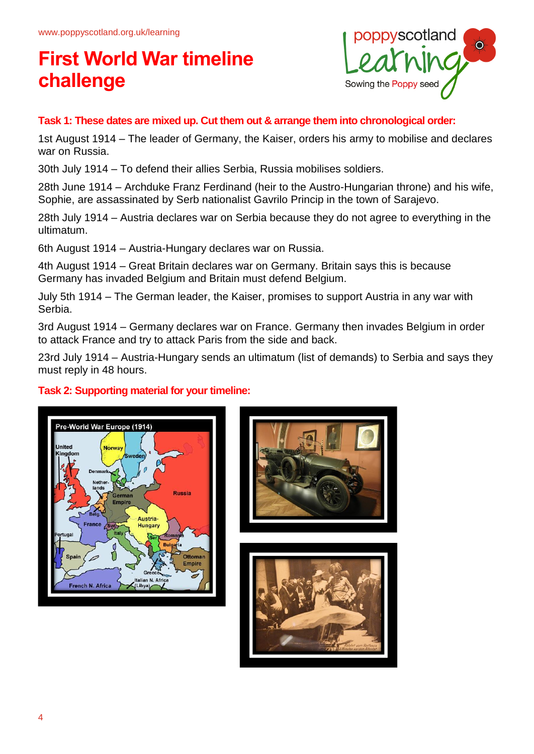

### **Task 1: These dates are mixed up. Cut them out & arrange them into chronological order:**

1st August 1914 – The leader of Germany, the Kaiser, orders his army to mobilise and declares war on Russia.

30th July 1914 – To defend their allies Serbia, Russia mobilises soldiers.

28th June 1914 – Archduke Franz Ferdinand (heir to the Austro-Hungarian throne) and his wife, Sophie, are assassinated by Serb nationalist Gavrilo Princip in the town of Sarajevo.

28th July 1914 – Austria declares war on Serbia because they do not agree to everything in the ultimatum.

6th August 1914 – Austria-Hungary declares war on Russia.

4th August 1914 – Great Britain declares war on Germany. Britain says this is because Germany has invaded Belgium and Britain must defend Belgium.

July 5th 1914 – The German leader, the Kaiser, promises to support Austria in any war with Serbia.

3rd August 1914 – Germany declares war on France. Germany then invades Belgium in order to attack France and try to attack Paris from the side and back.

23rd July 1914 – Austria-Hungary sends an ultimatum (list of demands) to Serbia and says they must reply in 48 hours.

## **Task 2: Supporting material for your timeline:**





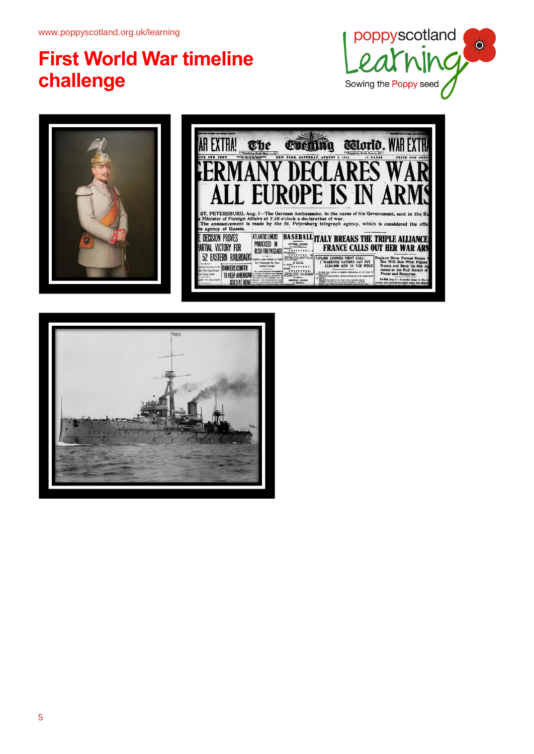



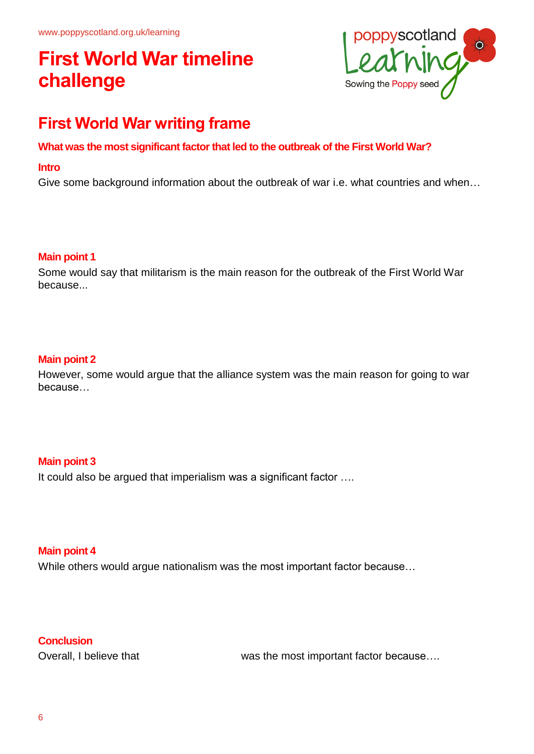

# **First World War writing frame**

### **What was the most significant factor that led to the outbreak of the First World War?**

#### **Intro**

Give some background information about the outbreak of war i.e. what countries and when…

#### **Main point 1**

Some would say that militarism is the main reason for the outbreak of the First World War because...

#### **Main point 2**

However, some would argue that the alliance system was the main reason for going to war because…

#### **Main point 3**

It could also be argued that imperialism was a significant factor ….

#### **Main point 4**

While others would argue nationalism was the most important factor because…

#### **Conclusion**

Overall, I believe that was the most important factor because....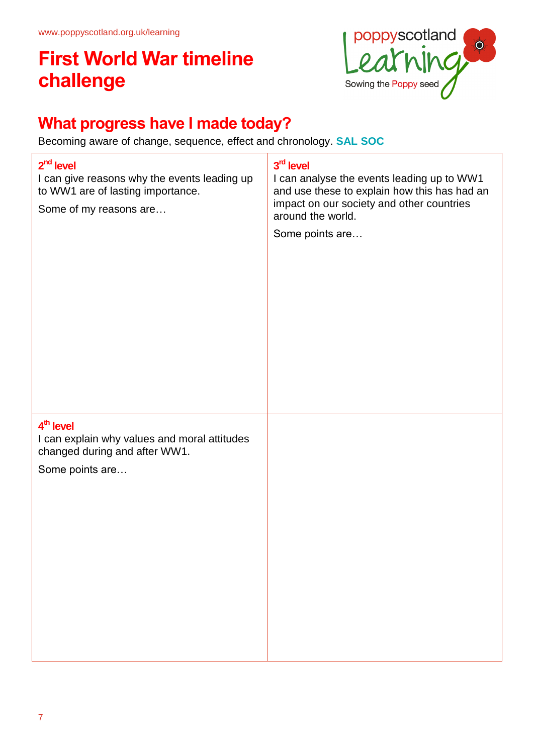

# **What progress have I made today?**

Becoming aware of change, sequence, effect and chronology. **SAL SOC**

| $2nd$ level<br>I can give reasons why the events leading up<br>to WW1 are of lasting importance.<br>Some of my reasons are | 3rd level<br>I can analyse the events leading up to WW1<br>and use these to explain how this has had an<br>impact on our society and other countries<br>around the world.<br>Some points are |
|----------------------------------------------------------------------------------------------------------------------------|----------------------------------------------------------------------------------------------------------------------------------------------------------------------------------------------|
| 4 <sup>th</sup> level<br>I can explain why values and moral attitudes<br>changed during and after WW1.<br>Some points are  |                                                                                                                                                                                              |